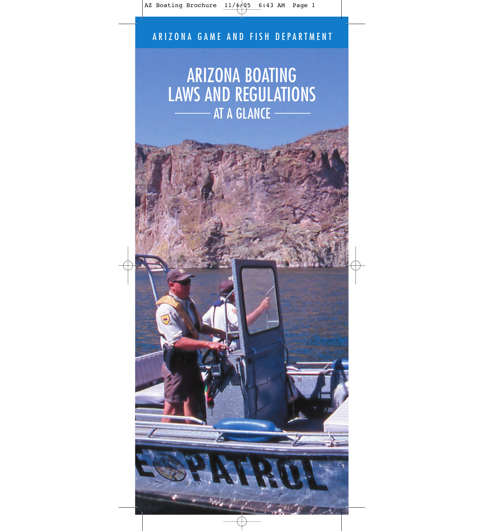# ARIZONA BOATING LAWS AND REGULATIONS AT A GLANCE -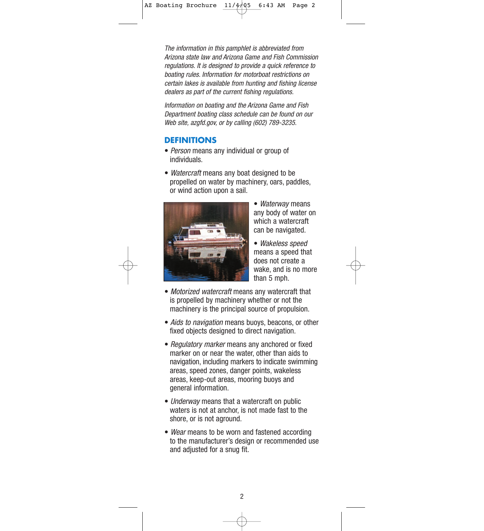The information in this pamphlet is abbreviated from Arizona state law and Arizona Game and Fish Commission regulations. It is designed to provide a quick reference to boating rules. Information for motorboat restrictions on certain lakes is available from hunting and fishing license dealers as part of the current fishing regulations.

Information on boating and the Arizona Game and Fish Department boating class schedule can be found on our Web site, azgfd.gov, or by calling (602) 789-3235.

#### **DEFINITIONS**

- Person means any individual or group of individuals.
- *Watercraft* means any boat designed to be propelled on water by machinery, oars, paddles, or wind action upon a sail.



• Waterway means any body of water on which a watercraft can be navigated.

• Wakeless speed means a speed that does not create a wake, and is no more than 5 mph.

- Motorized watercraft means any watercraft that is propelled by machinery whether or not the machinery is the principal source of propulsion.
- Aids to navigation means buoys, beacons, or other fixed objects designed to direct navigation.
- Regulatory marker means any anchored or fixed marker on or near the water, other than aids to navigation, including markers to indicate swimming areas, speed zones, danger points, wakeless areas, keep-out areas, mooring buoys and general information.
- Underway means that a watercraft on public waters is not at anchor, is not made fast to the shore, or is not aground.
- Wear means to be worn and fastened according to the manufacturer's design or recommended use and adjusted for a snug fit.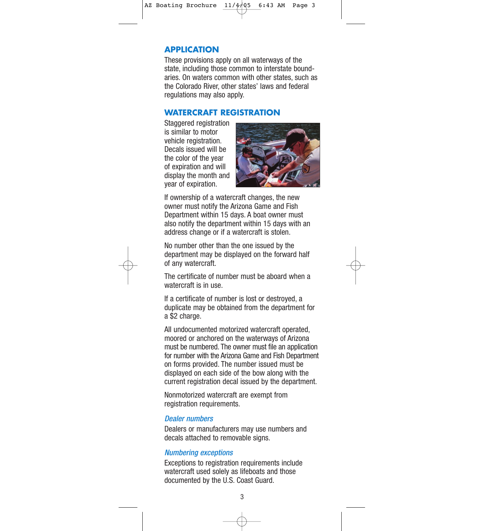## **APPLICATION**

These provisions apply on all waterways of the state, including those common to interstate boundaries. On waters common with other states, such as the Colorado River, other states' laws and federal regulations may also apply.

#### **WATERCRAFT REGISTRATION**

Staggered registration is similar to motor vehicle registration. Decals issued will be the color of the year of expiration and will display the month and year of expiration.



If ownership of a watercraft changes, the new owner must notify the Arizona Game and Fish Department within 15 days. A boat owner must also notify the department within 15 days with an address change or if a watercraft is stolen.

No number other than the one issued by the department may be displayed on the forward half of any watercraft.

The certificate of number must be aboard when a watercraft is in use.

If a certificate of number is lost or destroyed, a duplicate may be obtained from the department for a \$2 charge.

All undocumented motorized watercraft operated, moored or anchored on the waterways of Arizona must be numbered. The owner must file an application for number with the Arizona Game and Fish Department on forms provided. The number issued must be displayed on each side of the bow along with the current registration decal issued by the department.

Nonmotorized watercraft are exempt from registration requirements.

#### Dealer numbers

Dealers or manufacturers may use numbers and decals attached to removable signs.

#### Numbering exceptions

Exceptions to registration requirements include watercraft used solely as lifeboats and those documented by the U.S. Coast Guard.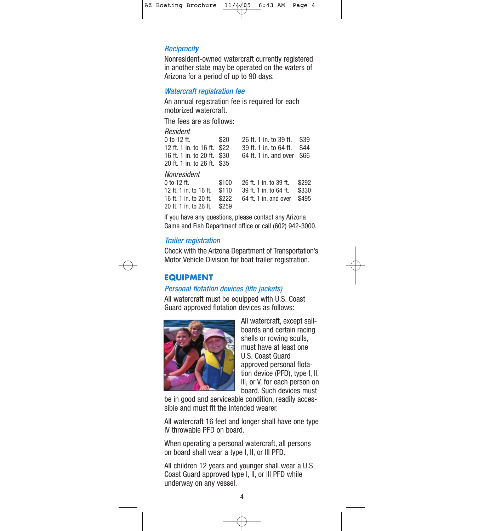#### **Reciprocity**

Nonresident-owned watercraft currently registered in another state may be operated on the waters of Arizona for a period of up to 90 days.

#### Watercraft registration fee

An annual registration fee is required for each motorized watercraft.

The fees are as follows:

| Resident                    |       |                        |       |
|-----------------------------|-------|------------------------|-------|
| 0 to 12 ft.                 | \$20  | 26 ft. 1 in. to 39 ft. | \$39  |
| 12 ft. 1 in. to 16 ft.      | \$22  | 39 ft. 1 in. to 64 ft. | \$44  |
| 16 ft. 1 in. to 20 ft.      | \$30  | 64 ft. 1 in. and over  | \$66  |
| 20 ft. 1 in. to 26 ft. \$35 |       |                        |       |
| Nonresident                 |       |                        |       |
| 0 to 12 ft.                 | \$100 | 26 ft. 1 in. to 39 ft. | \$292 |
| 12 ft. 1 in. to 16 ft.      | \$110 | 39 ft. 1 in. to 64 ft. | \$330 |
| 16 ft. 1 in. to 20 ft.      | \$222 | 64 ft. 1 in. and over  | \$495 |
| 20 ft. 1 in. to 26 ft.      | \$259 |                        |       |
|                             |       |                        |       |

If you have any questions, please contact any Arizona Game and Fish Department office or call (602) 942-3000.

#### Trailer registration

Check with the Arizona Department of Transportation's Motor Vehicle Division for boat trailer registration.

## **EQUIPMENT**

## Personal flotation devices (life jackets)

All watercraft must be equipped with U.S. Coast Guard approved flotation devices as follows:



All watercraft, except sailboards and certain racing shells or rowing sculls, must have at least one U.S. Coast Guard approved personal flotation device (PFD), type I, II, III, or V, for each person on board. Such devices must

be in good and serviceable condition, readily accessible and must fit the intended wearer.

All watercraft 16 feet and longer shall have one type IV throwable PFD on board.

When operating a personal watercraft, all persons on board shall wear a type I, II, or III PFD.

All children 12 years and younger shall wear a U.S. Coast Guard approved type I, II, or III PFD while underway on any vessel.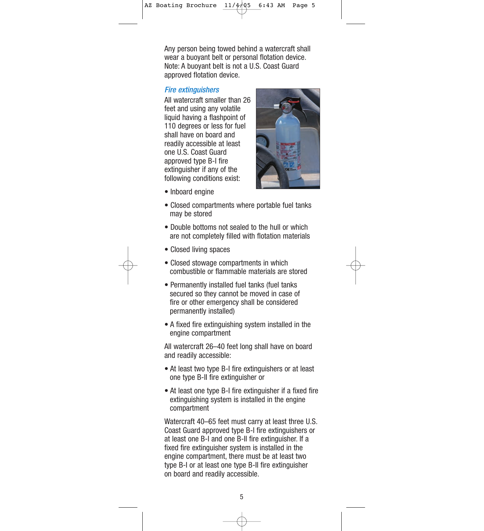Any person being towed behind a watercraft shall wear a buoyant belt or personal flotation device. Note: A buoyant belt is not a U.S. Coast Guard approved flotation device.

#### Fire extinguishers

All watercraft smaller than 26 feet and using any volatile liquid having a flashpoint of 110 degrees or less for fuel shall have on board and readily accessible at least one U.S. Coast Guard approved type B-I fire extinguisher if any of the following conditions exist:



- Inboard engine
- Closed compartments where portable fuel tanks may be stored
- Double bottoms not sealed to the hull or which are not completely filled with flotation materials
- Closed living spaces
- Closed stowage compartments in which combustible or flammable materials are stored
- Permanently installed fuel tanks (fuel tanks secured so they cannot be moved in case of fire or other emergency shall be considered permanently installed)
- A fixed fire extinguishing system installed in the engine compartment

All watercraft 26–40 feet long shall have on board and readily accessible:

- At least two type B-I fire extinguishers or at least one type B-II fire extinguisher or
- At least one type B-I fire extinguisher if a fixed fire extinguishing system is installed in the engine compartment

Watercraft 40–65 feet must carry at least three U.S. Coast Guard approved type B-I fire extinguishers or at least one B-I and one B-II fire extinguisher. If a fixed fire extinguisher system is installed in the engine compartment, there must be at least two type B-I or at least one type B-II fire extinguisher on board and readily accessible.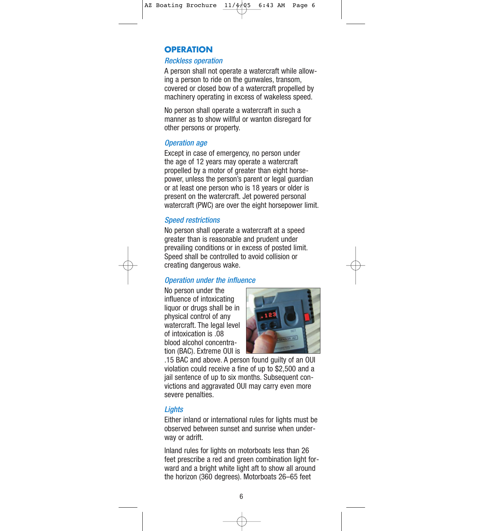## **OPERATION**

#### Reckless operation

A person shall not operate a watercraft while allowing a person to ride on the gunwales, transom, covered or closed bow of a watercraft propelled by machinery operating in excess of wakeless speed.

No person shall operate a watercraft in such a manner as to show willful or wanton disregard for other persons or property.

#### Operation age

Except in case of emergency, no person under the age of 12 years may operate a watercraft propelled by a motor of greater than eight horsepower, unless the person's parent or legal guardian or at least one person who is 18 years or older is present on the watercraft. Jet powered personal watercraft (PWC) are over the eight horsepower limit.

## Speed restrictions

No person shall operate a watercraft at a speed greater than is reasonable and prudent under prevailing conditions or in excess of posted limit. Speed shall be controlled to avoid collision or creating dangerous wake.

#### Operation under the influence

No person under the influence of intoxicating liquor or drugs shall be in physical control of any watercraft. The legal level of intoxication is .08 blood alcohol concentration (BAC). Extreme OUI is



.15 BAC and above. A person found guilty of an OUI violation could receive a fine of up to \$2,500 and a jail sentence of up to six months. Subsequent convictions and aggravated OUI may carry even more severe penalties.

#### **Lights**

Either inland or international rules for lights must be observed between sunset and sunrise when underway or adrift.

Inland rules for lights on motorboats less than 26 feet prescribe a red and green combination light forward and a bright white light aft to show all around the horizon (360 degrees). Motorboats 26–65 feet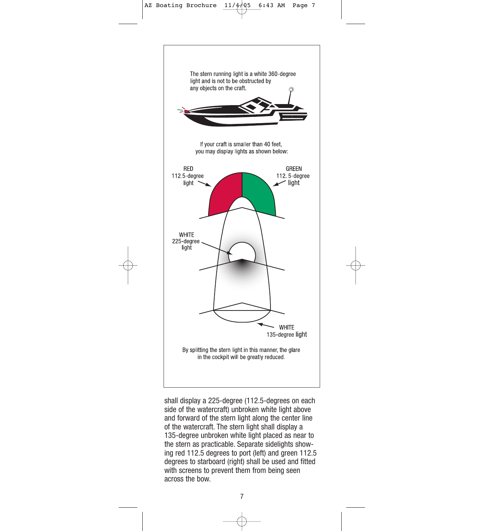

shall display a 225-degree (112.5-degrees on each side of the watercraft) unbroken white light above and forward of the stern light along the center line of the watercraft. The stern light shall display a 135-degree unbroken white light placed as near to the stern as practicable. Separate sidelights showing red 112.5 degrees to port (left) and green 112.5 degrees to starboard (right) shall be used and fitted with screens to prevent them from being seen across the bow.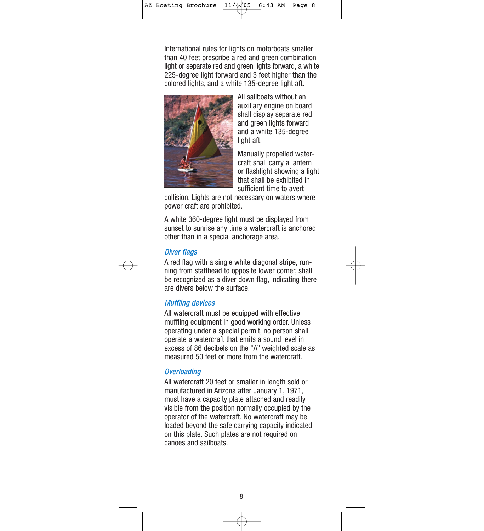International rules for lights on motorboats smaller than 40 feet prescribe a red and green combination light or separate red and green lights forward, a white 225-degree light forward and 3 feet higher than the colored lights, and a white 135-degree light aft.



All sailboats without an auxiliary engine on board shall display separate red and green lights forward and a white 135-degree light aft.

Manually propelled watercraft shall carry a lantern or flashlight showing a light that shall be exhibited in sufficient time to avert

collision. Lights are not necessary on waters where power craft are prohibited.

A white 360-degree light must be displayed from sunset to sunrise any time a watercraft is anchored other than in a special anchorage area.

#### Diver flags

A red flag with a single white diagonal stripe, running from staffhead to opposite lower corner, shall be recognized as a diver down flag, indicating there are divers below the surface.

#### Muffling devices

All watercraft must be equipped with effective muffling equipment in good working order. Unless operating under a special permit, no person shall operate a watercraft that emits a sound level in excess of 86 decibels on the "A" weighted scale as measured 50 feet or more from the watercraft.

#### **Overloading**

All watercraft 20 feet or smaller in length sold or manufactured in Arizona after January 1, 1971, must have a capacity plate attached and readily visible from the position normally occupied by the operator of the watercraft. No watercraft may be loaded beyond the safe carrying capacity indicated on this plate. Such plates are not required on canoes and sailboats.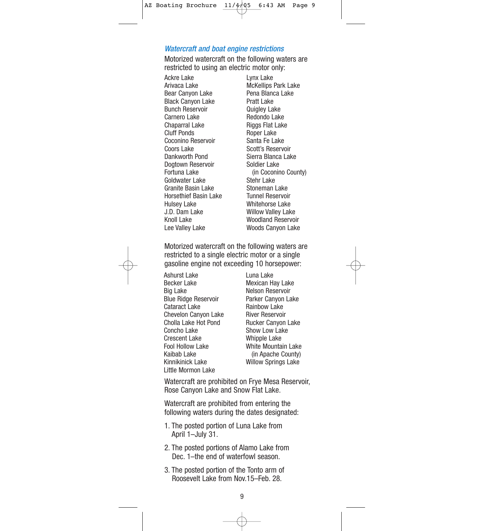#### Watercraft and boat engine restrictions

Motorized watercraft on the following waters are restricted to using an electric motor only:

Ackre Lake Arivaca Lake Bear Canyon Lake Black Canyon Lake Bunch Reservoir Carnero Lake Chaparral Lake Cluff Ponds Coconino Reservoir Coors Lake Dankworth Pond Dogtown Reservoir Fortuna Lake Goldwater Lake Granite Basin Lake Horsethief Basin Lake Hulsey Lake J.D. Dam Lake Knoll Lake Lee Valley Lake

Lynx Lake McKellips Park Lake Pena Blanca Lake Pratt Lake Quigley Lake Redondo Lake Riggs Flat Lake Roper Lake Santa Fe Lake Scott's Reservoir Sierra Blanca Lake Soldier Lake (in Coconino County) Stehr Lake Stoneman Lake Tunnel Reservoir Whitehorse Lake Willow Valley Lake Woodland Reservoir Woods Canyon Lake

Motorized watercraft on the following waters are restricted to a single electric motor or a single gasoline engine not exceeding 10 horsepower:

Ashurst Lake Becker Lake Big Lake Blue Ridge Reservoir Cataract Lake Chevelon Canyon Lake Cholla Lake Hot Pond Concho Lake Crescent Lake Fool Hollow Lake Kaibab Lake Kinnikinick Lake Little Mormon Lake

Luna Lake Mexican Hay Lake Nelson Reservoir Parker Canyon Lake Rainbow Lake River Reservoir Rucker Canyon Lake Show Low Lake Whipple Lake White Mountain Lake (in Apache County) Willow Springs Lake

Watercraft are prohibited on Frye Mesa Reservoir, Rose Canyon Lake and Snow Flat Lake.

Watercraft are prohibited from entering the following waters during the dates designated:

- 1. The posted portion of Luna Lake from April 1–July 31.
- 2. The posted portions of Alamo Lake from Dec. 1–the end of waterfowl season.
- 3. The posted portion of the Tonto arm of Roosevelt Lake from Nov.15–Feb. 28.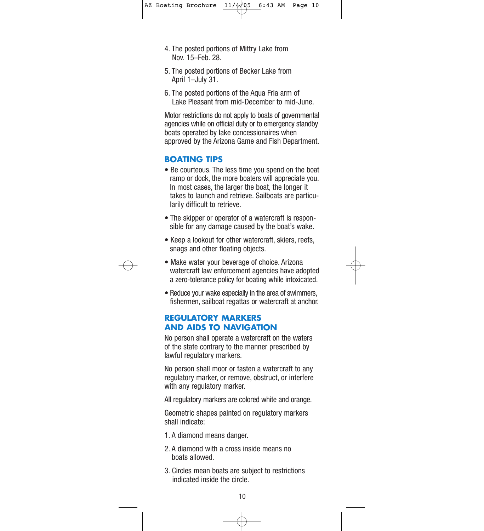- 4. The posted portions of Mittry Lake from Nov. 15–Feb. 28.
- 5. The posted portions of Becker Lake from April 1–July 31.
- 6. The posted portions of the Aqua Fria arm of Lake Pleasant from mid-December to mid-June.

Motor restrictions do not apply to boats of governmental agencies while on official duty or to emergency standby boats operated by lake concessionaires when approved by the Arizona Game and Fish Department.

## **BOATING TIPS**

- Be courteous. The less time you spend on the boat ramp or dock, the more boaters will appreciate you. In most cases, the larger the boat, the longer it takes to launch and retrieve. Sailboats are particularily difficult to retrieve.
- The skipper or operator of a watercraft is responsible for any damage caused by the boat's wake.
- Keep a lookout for other watercraft, skiers, reefs, snags and other floating objects.
- Make water your beverage of choice. Arizona watercraft law enforcement agencies have adopted a zero-tolerance policy for boating while intoxicated.
- Reduce your wake especially in the area of swimmers, fishermen, sailboat regattas or watercraft at anchor.

#### **REGULATORY MARKERS AND AIDS TO NAVIGATION**

No person shall operate a watercraft on the waters of the state contrary to the manner prescribed by lawful regulatory markers.

No person shall moor or fasten a watercraft to any regulatory marker, or remove, obstruct, or interfere with any regulatory marker.

All regulatory markers are colored white and orange.

Geometric shapes painted on regulatory markers shall indicate:

- 1. A diamond means danger.
- 2. A diamond with a cross inside means no boats allowed.
- 3. Circles mean boats are subject to restrictions indicated inside the circle.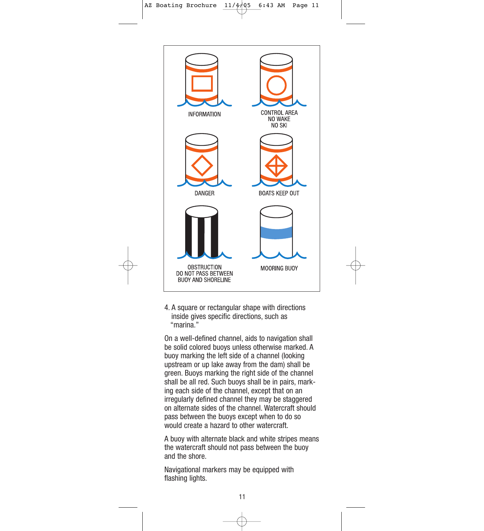

4. A square or rectangular shape with directions inside gives specific directions, such as "marina."

On a well-defined channel, aids to navigation shall be solid colored buoys unless otherwise marked. A buoy marking the left side of a channel (looking upstream or up lake away from the dam) shall be green. Buoys marking the right side of the channel shall be all red. Such buoys shall be in pairs, marking each side of the channel, except that on an irregularly defined channel they may be staggered on alternate sides of the channel. Watercraft should pass between the buoys except when to do so would create a hazard to other watercraft.

A buoy with alternate black and white stripes means the watercraft should not pass between the buoy and the shore.

Navigational markers may be equipped with flashing lights.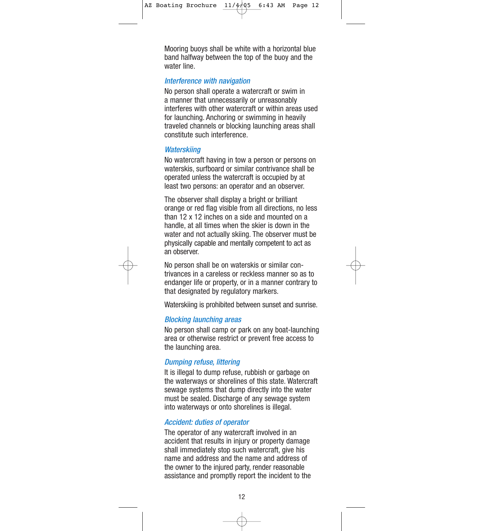Mooring buoys shall be white with a horizontal blue band halfway between the top of the buoy and the water line.

#### Interference with navigation

No person shall operate a watercraft or swim in a manner that unnecessarily or unreasonably interferes with other watercraft or within areas used for launching. Anchoring or swimming in heavily traveled channels or blocking launching areas shall constitute such interference.

#### **Waterskiing**

No watercraft having in tow a person or persons on waterskis, surfboard or similar contrivance shall be operated unless the watercraft is occupied by at least two persons: an operator and an observer.

The observer shall display a bright or brilliant orange or red flag visible from all directions, no less than 12 x 12 inches on a side and mounted on a handle, at all times when the skier is down in the water and not actually skiing. The observer must be physically capable and mentally competent to act as an observer.

No person shall be on waterskis or similar contrivances in a careless or reckless manner so as to endanger life or property, or in a manner contrary to that designated by regulatory markers.

Waterskiing is prohibited between sunset and sunrise.

#### Blocking launching areas

No person shall camp or park on any boat-launching area or otherwise restrict or prevent free access to the launching area.

#### Dumping refuse, littering

It is illegal to dump refuse, rubbish or garbage on the waterways or shorelines of this state. Watercraft sewage systems that dump directly into the water must be sealed. Discharge of any sewage system into waterways or onto shorelines is illegal.

#### Accident: duties of operator

The operator of any watercraft involved in an accident that results in injury or property damage shall immediately stop such watercraft, give his name and address and the name and address of the owner to the injured party, render reasonable assistance and promptly report the incident to the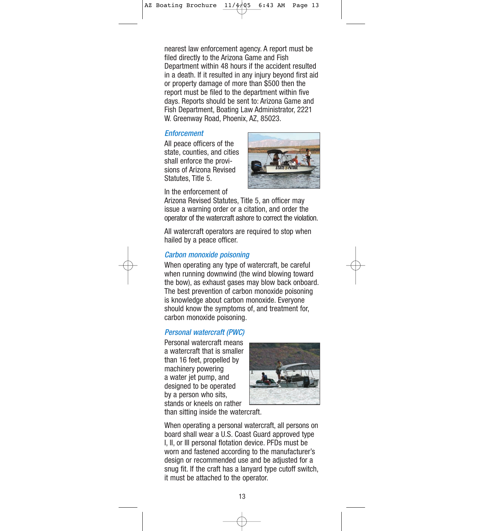nearest law enforcement agency. A report must be filed directly to the Arizona Game and Fish Department within 48 hours if the accident resulted in a death. If it resulted in any injury beyond first aid or property damage of more than \$500 then the report must be filed to the department within five days. Reports should be sent to: Arizona Game and Fish Department, Boating Law Administrator, 2221 W. Greenway Road, Phoenix, AZ, 85023.

#### **Enforcement**

All peace officers of the state, counties, and cities shall enforce the provisions of Arizona Revised Statutes, Title 5.



In the enforcement of

Arizona Revised Statutes, Title 5, an officer may issue a warning order or a citation, and order the operator of the watercraft ashore to correct the violation.

All watercraft operators are required to stop when hailed by a peace officer.

#### Carbon monoxide poisoning

When operating any type of watercraft, be careful when running downwind (the wind blowing toward the bow), as exhaust gases may blow back onboard. The best prevention of carbon monoxide poisoning is knowledge about carbon monoxide. Everyone should know the symptoms of, and treatment for, carbon monoxide poisoning.

#### Personal watercraft (PWC)

Personal watercraft means a watercraft that is smaller than 16 feet, propelled by machinery powering a water jet pump, and designed to be operated by a person who sits, stands or kneels on rather



than sitting inside the watercraft.

When operating a personal watercraft, all persons on board shall wear a U.S. Coast Guard approved type I, II, or III personal flotation device. PFDs must be worn and fastened according to the manufacturer's design or recommended use and be adjusted for a snug fit. If the craft has a lanyard type cutoff switch, it must be attached to the operator.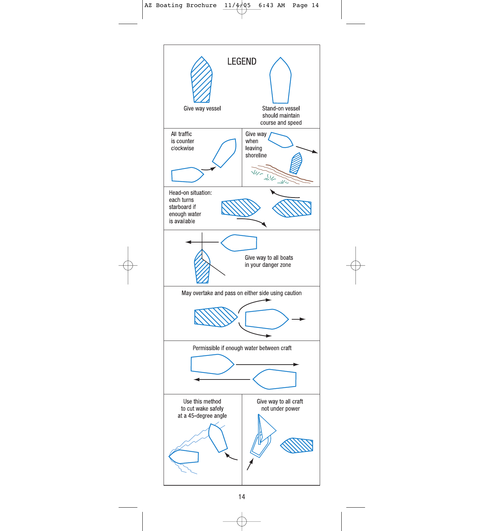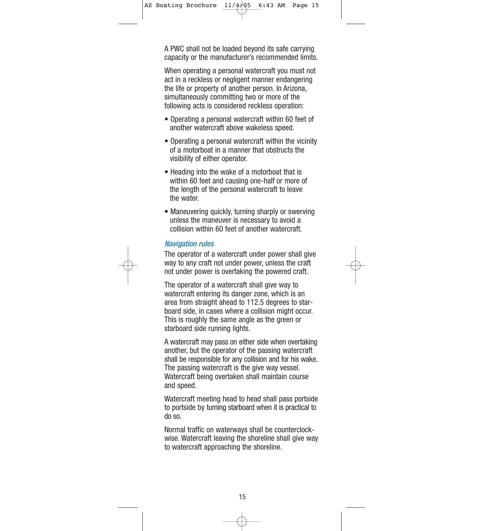A PWC shall not be loaded beyond its safe carrying capacity or the manufacturer's recommended limits.

When operating a personal watercraft you must not act in a reckless or negligent manner endangering the life or property of another person. In Arizona, simultaneously committing two or more of the following acts is considered reckless operation:

- Operating a personal watercraft within 60 feet of another watercraft above wakeless speed.
- Operating a personal watercraft within the vicinity of a motorboat in a manner that obstructs the visibility of either operator.
- Heading into the wake of a motorboat that is within 60 feet and causing one-half or more of the length of the personal watercraft to leave the water.
- Maneuvering quickly, turning sharply or swerving unless the maneuver is necessary to avoid a collision within 60 feet of another watercraft.

## Navigation rules

The operator of a watercraft under power shall give way to any craft not under power, unless the craft not under power is overtaking the powered craft.

The operator of a watercraft shall give way to watercraft entering its danger zone, which is an area from straight ahead to 112.5 degrees to starboard side, in cases where a collision might occur. This is roughly the same angle as the green or starboard side running lights.

A watercraft may pass on either side when overtaking another, but the operator of the passing watercraft shall be responsible for any collision and for his wake. The passing watercraft is the give way vessel. Watercraft being overtaken shall maintain course and speed.

Watercraft meeting head to head shall pass portside to portside by turning starboard when it is practical to do so.

Normal traffic on waterways shall be counterclockwise. Watercraft leaving the shoreline shall give way to watercraft approaching the shoreline.